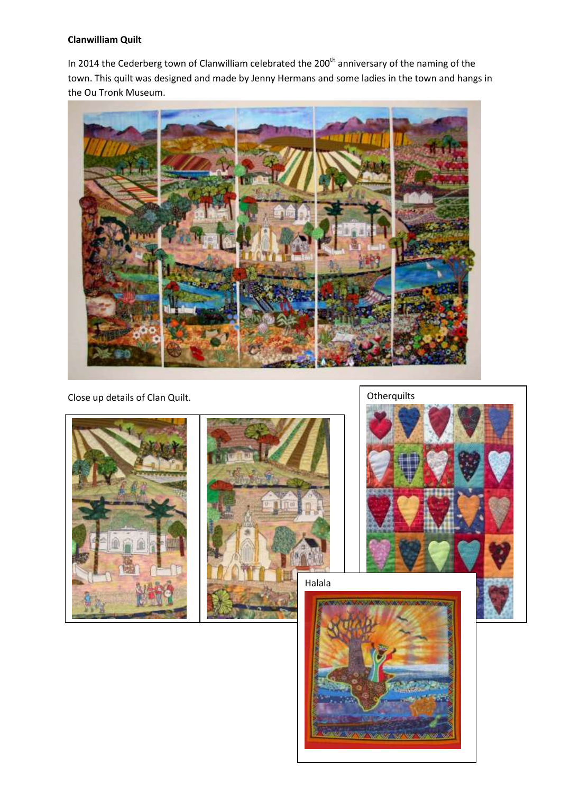## **Clanwilliam Quilt**

In 2014 the Cederberg town of Clanwilliam celebrated the 200<sup>th</sup> anniversary of the naming of the town. This quilt was designed and made by Jenny Hermans and some ladies in the town and hangs in the Ou Tronk Museum.



Close up details of Clan Quilt. Close up details of Clan Quilt.